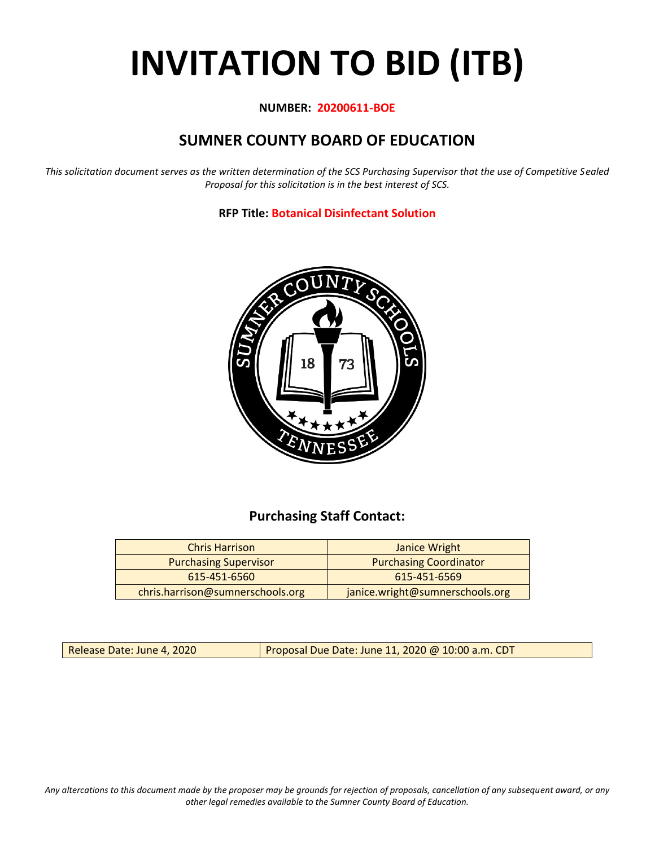# **INVITATION TO BID (ITB)**

# **NUMBER: 20200611-BOE**

# **SUMNER COUNTY BOARD OF EDUCATION**

*This solicitation document serves as the written determination of the SCS Purchasing Supervisor that the use of Competitive Sealed Proposal for this solicitation is in the best interest of SCS.*

**RFP Title: Botanical Disinfectant Solution**



# **Purchasing Staff Contact:**

| <b>Chris Harrison</b>            | Janice Wright                   |
|----------------------------------|---------------------------------|
| <b>Purchasing Supervisor</b>     | <b>Purchasing Coordinator</b>   |
| 615-451-6560                     | 615-451-6569                    |
| chris.harrison@sumnerschools.org | janice.wright@sumnerschools.org |

Release Date: June 4, 2020 Proposal Due Date: June 11, 2020 @ 10:00 a.m. CDT

*Any altercations to this document made by the proposer may be grounds for rejection of proposals, cancellation of any subsequent award, or any other legal remedies available to the Sumner County Board of Education.*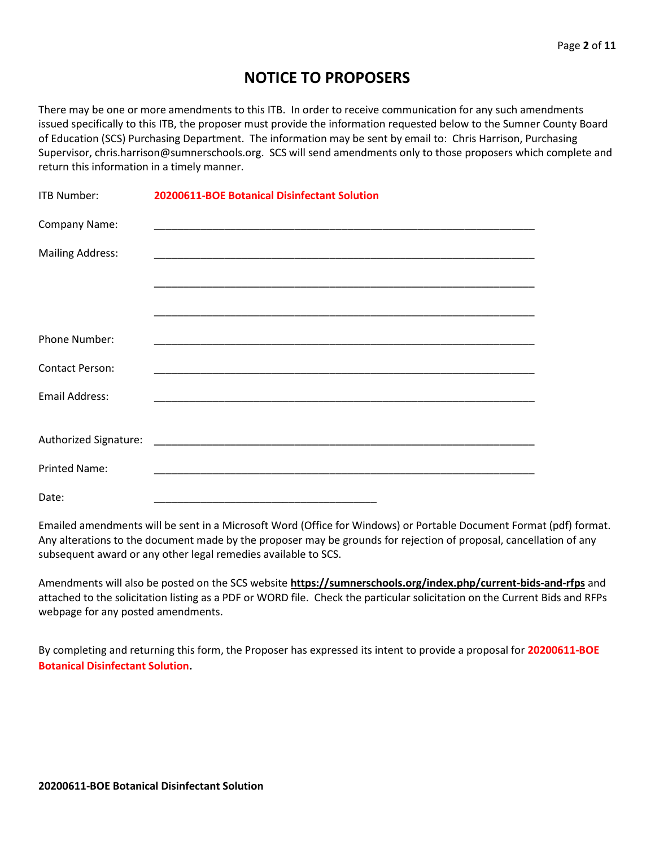# **NOTICE TO PROPOSERS**

There may be one or more amendments to this ITB. In order to receive communication for any such amendments issued specifically to this ITB, the proposer must provide the information requested below to the Sumner County Board of Education (SCS) Purchasing Department. The information may be sent by email to: Chris Harrison, Purchasing Supervisor, chris.harrison@sumnerschools.org. SCS will send amendments only to those proposers which complete and return this information in a timely manner.

| <b>ITB Number:</b>      | 20200611-BOE Botanical Disinfectant Solution |  |  |  |  |  |
|-------------------------|----------------------------------------------|--|--|--|--|--|
| Company Name:           |                                              |  |  |  |  |  |
| <b>Mailing Address:</b> |                                              |  |  |  |  |  |
|                         |                                              |  |  |  |  |  |
|                         |                                              |  |  |  |  |  |
| Phone Number:           |                                              |  |  |  |  |  |
| <b>Contact Person:</b>  |                                              |  |  |  |  |  |
| <b>Email Address:</b>   |                                              |  |  |  |  |  |
|                         |                                              |  |  |  |  |  |
|                         |                                              |  |  |  |  |  |
| <b>Printed Name:</b>    |                                              |  |  |  |  |  |
| Date:                   |                                              |  |  |  |  |  |

Emailed amendments will be sent in a Microsoft Word (Office for Windows) or Portable Document Format (pdf) format. Any alterations to the document made by the proposer may be grounds for rejection of proposal, cancellation of any subsequent award or any other legal remedies available to SCS.

Amendments will also be posted on the SCS website **https://sumnerschools.org/index.php/current-bids-and-rfps** and attached to the solicitation listing as a PDF or WORD file. Check the particular solicitation on the Current Bids and RFPs webpage for any posted amendments.

By completing and returning this form, the Proposer has expressed its intent to provide a proposal for **20200611-BOE Botanical Disinfectant Solution.**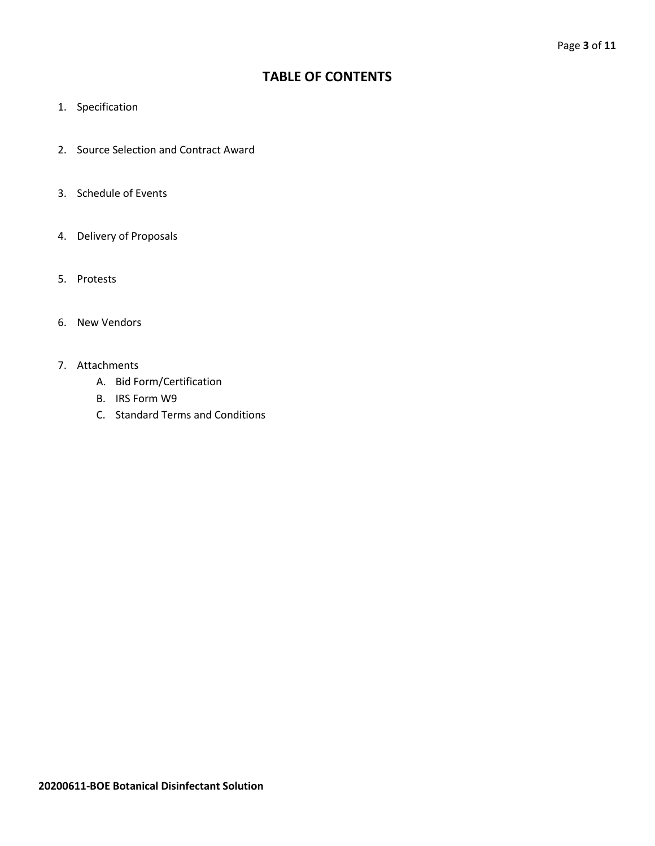# **TABLE OF CONTENTS**

- 1. Specification
- 2. Source Selection and Contract Award
- 3. Schedule of Events
- 4. Delivery of Proposals
- 5. Protests
- 6. New Vendors
- 7. Attachments
	- A. Bid Form/Certification
	- B. IRS Form W9
	- C. Standard Terms and Conditions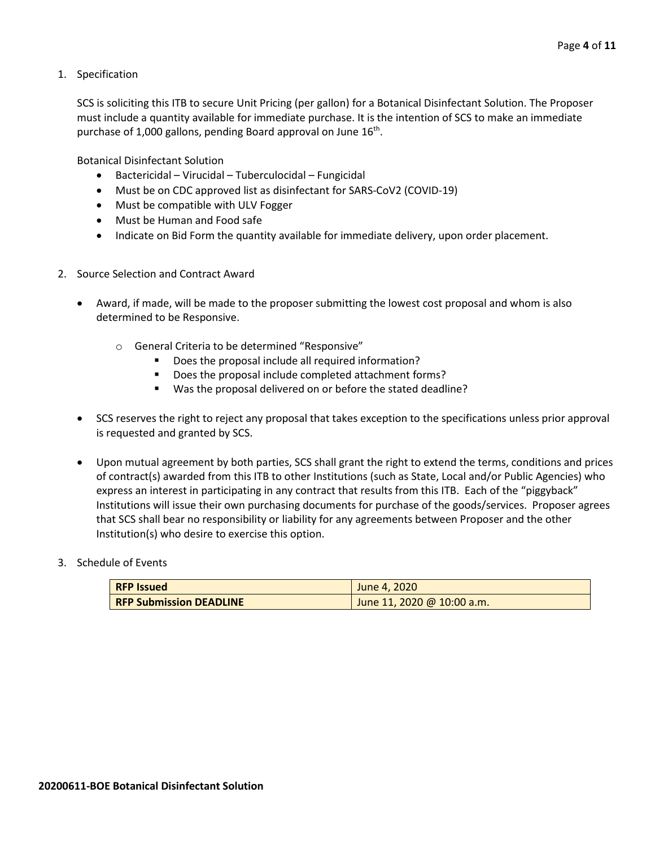1. Specification

SCS is soliciting this ITB to secure Unit Pricing (per gallon) for a Botanical Disinfectant Solution. The Proposer must include a quantity available for immediate purchase. It is the intention of SCS to make an immediate purchase of 1,000 gallons, pending Board approval on June  $16^{th}$ .

Botanical Disinfectant Solution

- Bactericidal Virucidal Tuberculocidal Fungicidal
- Must be on CDC approved list as disinfectant for SARS-CoV2 (COVID-19)
- Must be compatible with ULV Fogger
- Must be Human and Food safe
- Indicate on Bid Form the quantity available for immediate delivery, upon order placement.
- 2. Source Selection and Contract Award
	- Award, if made, will be made to the proposer submitting the lowest cost proposal and whom is also determined to be Responsive.
		- o General Criteria to be determined "Responsive"
			- Does the proposal include all required information?
			- Does the proposal include completed attachment forms?
			- Was the proposal delivered on or before the stated deadline?
	- SCS reserves the right to reject any proposal that takes exception to the specifications unless prior approval is requested and granted by SCS.
	- Upon mutual agreement by both parties, SCS shall grant the right to extend the terms, conditions and prices of contract(s) awarded from this ITB to other Institutions (such as State, Local and/or Public Agencies) who express an interest in participating in any contract that results from this ITB. Each of the "piggyback" Institutions will issue their own purchasing documents for purchase of the goods/services. Proposer agrees that SCS shall bear no responsibility or liability for any agreements between Proposer and the other Institution(s) who desire to exercise this option.
- 3. Schedule of Events

| <b>RFP Issued</b>              | June 4, 2020               |  |  |  |  |  |  |
|--------------------------------|----------------------------|--|--|--|--|--|--|
| <b>RFP Submission DEADLINE</b> | June 11, 2020 @ 10:00 a.m. |  |  |  |  |  |  |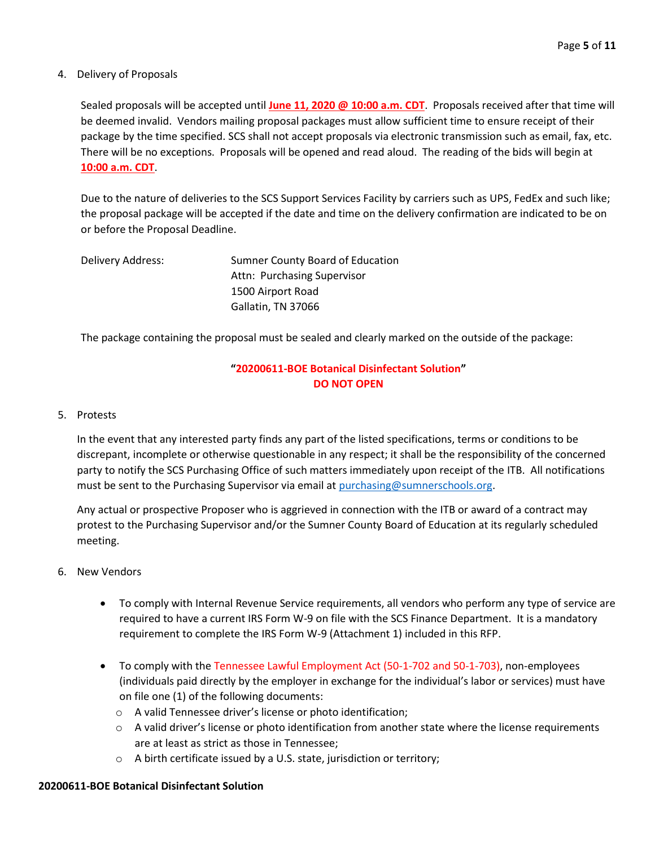## 4. Delivery of Proposals

Sealed proposals will be accepted until **June 11, 2020 @ 10:00 a.m. CDT**. Proposals received after that time will be deemed invalid. Vendors mailing proposal packages must allow sufficient time to ensure receipt of their package by the time specified. SCS shall not accept proposals via electronic transmission such as email, fax, etc. There will be no exceptions. Proposals will be opened and read aloud. The reading of the bids will begin at **10:00 a.m. CDT**.

Due to the nature of deliveries to the SCS Support Services Facility by carriers such as UPS, FedEx and such like; the proposal package will be accepted if the date and time on the delivery confirmation are indicated to be on or before the Proposal Deadline.

| Delivery Address: | Sumner County Board of Education |
|-------------------|----------------------------------|
|                   | Attn: Purchasing Supervisor      |
|                   | 1500 Airport Road                |
|                   | Gallatin, TN 37066               |

The package containing the proposal must be sealed and clearly marked on the outside of the package:

# **"20200611-BOE Botanical Disinfectant Solution" DO NOT OPEN**

## 5. Protests

In the event that any interested party finds any part of the listed specifications, terms or conditions to be discrepant, incomplete or otherwise questionable in any respect; it shall be the responsibility of the concerned party to notify the SCS Purchasing Office of such matters immediately upon receipt of the ITB. All notifications must be sent to the Purchasing Supervisor via email at [purchasing@sumnerschools.org.](mailto:purchasing@sumnerschools.org)

Any actual or prospective Proposer who is aggrieved in connection with the ITB or award of a contract may protest to the Purchasing Supervisor and/or the Sumner County Board of Education at its regularly scheduled meeting.

- 6. New Vendors
	- To comply with Internal Revenue Service requirements, all vendors who perform any type of service are required to have a current IRS Form W-9 on file with the SCS Finance Department. It is a mandatory requirement to complete the IRS Form W-9 (Attachment 1) included in this RFP.
	- To comply with the Tennessee Lawful Employment Act (50-1-702 and 50-1-703), non-employees (individuals paid directly by the employer in exchange for the individual's labor or services) must have on file one (1) of the following documents:
		- o A valid Tennessee driver's license or photo identification;
		- $\circ$  A valid driver's license or photo identification from another state where the license requirements are at least as strict as those in Tennessee;
		- o A birth certificate issued by a U.S. state, jurisdiction or territory;

## **20200611-BOE Botanical Disinfectant Solution**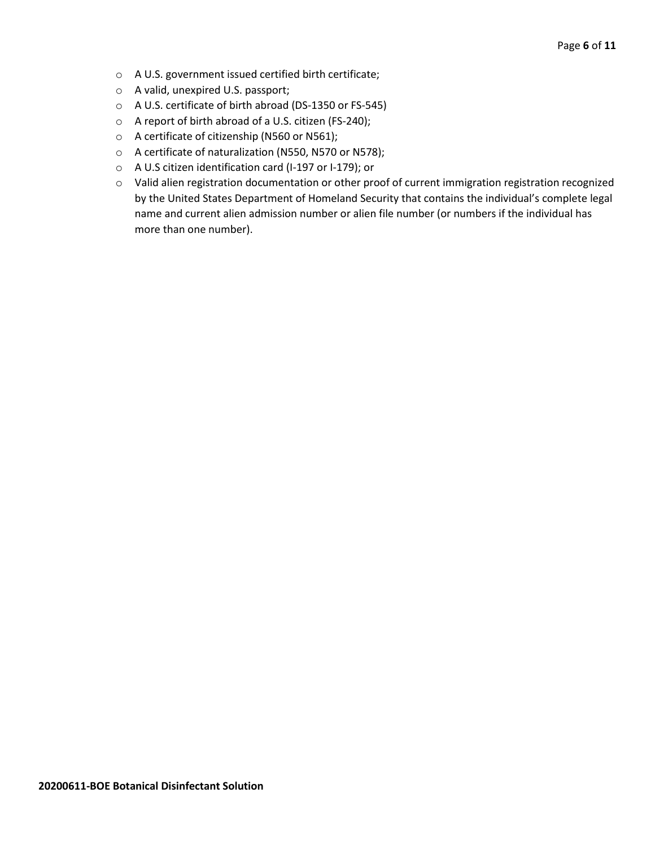- o A U.S. government issued certified birth certificate;
- o A valid, unexpired U.S. passport;
- o A U.S. certificate of birth abroad (DS-1350 or FS-545)
- o A report of birth abroad of a U.S. citizen (FS-240);
- o A certificate of citizenship (N560 or N561);
- o A certificate of naturalization (N550, N570 or N578);
- o A U.S citizen identification card (I-197 or I-179); or
- o Valid alien registration documentation or other proof of current immigration registration recognized by the United States Department of Homeland Security that contains the individual's complete legal name and current alien admission number or alien file number (or numbers if the individual has more than one number).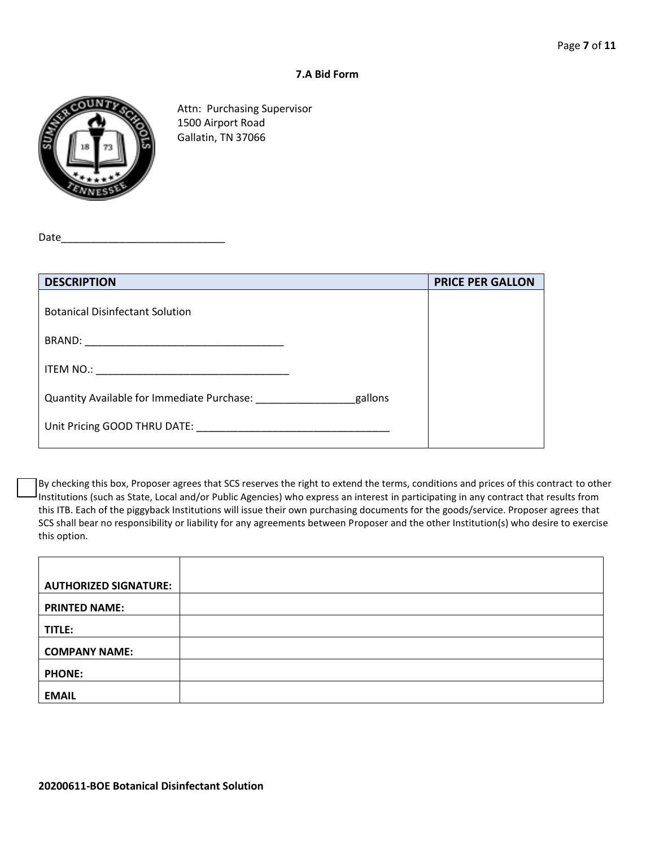#### **7.A Bid Form**



Attn: Purchasing Supervisor 1500 Airport Road Gallatin, TN 37066

Date

| <b>DESCRIPTION</b>                                                                                                                                                                                                             | <b>PRICE PER GALLON</b> |
|--------------------------------------------------------------------------------------------------------------------------------------------------------------------------------------------------------------------------------|-------------------------|
| <b>Botanical Disinfectant Solution</b>                                                                                                                                                                                         |                         |
|                                                                                                                                                                                                                                |                         |
|                                                                                                                                                                                                                                |                         |
| Quantity Available for Immediate Purchase:<br>gallons                                                                                                                                                                          |                         |
| Unit Pricing GOOD THRU DATE: Network and the state of the state of the state of the state of the state of the state of the state of the state of the state of the state of the state of the state of the state of the state of |                         |

By checking this box, Proposer agrees that SCS reserves the right to extend the terms, conditions and prices of this contract to other Institutions (such as State, Local and/or Public Agencies) who express an interest in participating in any contract that results from this ITB. Each of the piggyback Institutions will issue their own purchasing documents for the goods/service. Proposer agrees that SCS shall bear no responsibility or liability for any agreements between Proposer and the other Institution(s) who desire to exercise this option.

| <b>AUTHORIZED SIGNATURE:</b> |  |
|------------------------------|--|
| <b>PRINTED NAME:</b>         |  |
| TITLE:                       |  |
| <b>COMPANY NAME:</b>         |  |
| <b>PHONE:</b>                |  |
| <b>EMAIL</b>                 |  |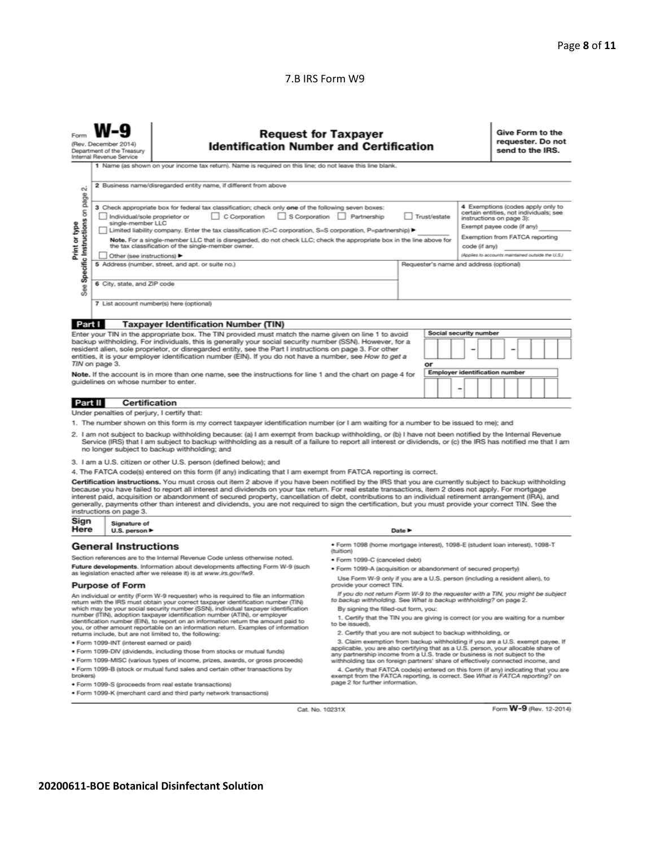## 7.B IRS Form W9

|                                                                                                                                                                                                                                                                                                                                                                                                                                                                                                                                                                                                                                                                                                                                                                                                                                                                                                                                                                                                                                                                                                                                                                                                                                                                                                                                                                                                                                                                                                                                                                                                                                                                                                                                                                                                                                                                                                                                                                                                                                                                                                                                                                                                                                                                                                                  | <b>Request for Taxpayer</b><br>(Rev. December 2014)<br><b>Identification Number and Certification</b><br>Department of the Treasury<br>Internal Revenue Service<br>1 Name (as shown on your income tax return). Name is required on this line; do not leave this line blank.                            |  |  |  |  |  |  |                                                                                                                                                                         | Give Form to the<br>requester. Do not<br>send to the IRS. |  |  |  |  |
|------------------------------------------------------------------------------------------------------------------------------------------------------------------------------------------------------------------------------------------------------------------------------------------------------------------------------------------------------------------------------------------------------------------------------------------------------------------------------------------------------------------------------------------------------------------------------------------------------------------------------------------------------------------------------------------------------------------------------------------------------------------------------------------------------------------------------------------------------------------------------------------------------------------------------------------------------------------------------------------------------------------------------------------------------------------------------------------------------------------------------------------------------------------------------------------------------------------------------------------------------------------------------------------------------------------------------------------------------------------------------------------------------------------------------------------------------------------------------------------------------------------------------------------------------------------------------------------------------------------------------------------------------------------------------------------------------------------------------------------------------------------------------------------------------------------------------------------------------------------------------------------------------------------------------------------------------------------------------------------------------------------------------------------------------------------------------------------------------------------------------------------------------------------------------------------------------------------------------------------------------------------------------------------------------------------|---------------------------------------------------------------------------------------------------------------------------------------------------------------------------------------------------------------------------------------------------------------------------------------------------------|--|--|--|--|--|--|-------------------------------------------------------------------------------------------------------------------------------------------------------------------------|-----------------------------------------------------------|--|--|--|--|
| 2 Business name/disregarded entity name, if different from above<br><b>CU</b><br>page<br>3 Check appropriate box for federal tax classification; check only one of the following seven boxes:<br>Specific Instructions on<br>S Corporation Partnership<br>$\Box$ C Corporation<br>Trust/estate<br>Individual/sole proprietor or<br>single-member LLC<br>Print or type<br>I Limited liability company. Enter the tax classification (C=C corporation, S=S corporation, P=partnership) ▶<br>Note. For a single-member LLC that is disregarded, do not check LLC; check the appropriate box in the line above for<br>the tax classification of the single-member owner.<br>code (if any)                                                                                                                                                                                                                                                                                                                                                                                                                                                                                                                                                                                                                                                                                                                                                                                                                                                                                                                                                                                                                                                                                                                                                                                                                                                                                                                                                                                                                                                                                                                                                                                                                            |                                                                                                                                                                                                                                                                                                         |  |  |  |  |  |  | 4 Exemptions (codes apply only to<br>certain entities, not individuals; see<br>instructions on page 3):<br>Exempt payee code (if any)<br>Exemption from FATCA reporting |                                                           |  |  |  |  |
| See                                                                                                                                                                                                                                                                                                                                                                                                                                                                                                                                                                                                                                                                                                                                                                                                                                                                                                                                                                                                                                                                                                                                                                                                                                                                                                                                                                                                                                                                                                                                                                                                                                                                                                                                                                                                                                                                                                                                                                                                                                                                                                                                                                                                                                                                                                              | (Applies to accounts maintained outside the U.S.)<br>Other (see instructions) ▶<br>5 Address (number, street, and apt. or suite no.)<br>Requester's name and address (optional)<br>6 City, state, and ZIP code<br>7 List account number(s) here (optional)                                              |  |  |  |  |  |  |                                                                                                                                                                         |                                                           |  |  |  |  |
| Part I<br><b>Taxpayer Identification Number (TIN)</b><br><b>Social security number</b><br>Enter your TIN in the appropriate box. The TIN provided must match the name given on line 1 to avoid<br>backup withholding. For individuals, this is generally your social security number (SSN). However, for a<br>resident alien, sole proprietor, or disregarded entity, see the Part I instructions on page 3. For other<br>entities, it is your employer identification number (EIN). If you do not have a number, see How to get a<br>TIN on page 3.<br>٥r<br><b>Employer identification number</b><br>Note. If the account is in more than one name, see the instructions for line 1 and the chart on page 4 for<br>quidelines on whose number to enter.<br>$\overline{a}$                                                                                                                                                                                                                                                                                                                                                                                                                                                                                                                                                                                                                                                                                                                                                                                                                                                                                                                                                                                                                                                                                                                                                                                                                                                                                                                                                                                                                                                                                                                                      |                                                                                                                                                                                                                                                                                                         |  |  |  |  |  |  |                                                                                                                                                                         |                                                           |  |  |  |  |
| Part II<br>Certification<br>Under penalties of perjury, I certify that:<br>1. The number shown on this form is my correct taxpayer identification number (or I am waiting for a number to be issued to me); and<br>2. I am not subject to backup withholding because: (a) I am exempt from backup withholding, or (b) I have not been notified by the Internal Revenue<br>Service (IRS) that I am subject to backup withholding as a result of a failure to report all interest or dividends, or (c) the IRS has notified me that I am<br>no longer subject to backup withholding; and<br>3. I am a U.S. citizen or other U.S. person (defined below); and<br>4. The FATCA code(s) entered on this form (if any) indicating that I am exempt from FATCA reporting is correct.<br>Certification instructions. You must cross out item 2 above if you have been notified by the IRS that you are currently subject to backup withholding<br>because you have failed to report all interest and dividends on your tax return. For real estate transactions, item 2 does not apply. For mortgage<br>interest paid, acquisition or abandonment of secured property, cancellation of debt, contributions to an individual retirement arrangement (IRA), and<br>generally, payments other than interest and dividends, you are not required to sign the certification, but you must provide your correct TIN. See the<br>instructions on page 3.                                                                                                                                                                                                                                                                                                                                                                                                                                                                                                                                                                                                                                                                                                                                                                                                                                                                        |                                                                                                                                                                                                                                                                                                         |  |  |  |  |  |  |                                                                                                                                                                         |                                                           |  |  |  |  |
| Sign<br>Here                                                                                                                                                                                                                                                                                                                                                                                                                                                                                                                                                                                                                                                                                                                                                                                                                                                                                                                                                                                                                                                                                                                                                                                                                                                                                                                                                                                                                                                                                                                                                                                                                                                                                                                                                                                                                                                                                                                                                                                                                                                                                                                                                                                                                                                                                                     | Signature of<br>U.S. person $\blacktriangleright$<br>Date P<br><b>General Instructions</b><br>· Form 1098 (home mortgage interest), 1098-E (student loan interest), 1098-T<br>(tuition)<br>Section references are to the Internal Revenue Code unless otherwise noted.<br>· Form 1099-C (canceled debt) |  |  |  |  |  |  |                                                                                                                                                                         |                                                           |  |  |  |  |
| Future developments. Information about developments affecting Form W-9 (such<br>· Form 1099-A (acquisition or abandonment of secured property)<br>as legislation enacted after we release it) is at www.irs.gov/fw9.<br>Use Form W-9 only if you are a U.S. person (including a resident alien), to<br><b>Purpose of Form</b><br>provide your correct TIN.<br>If you do not return Form W-9 to the requester with a TIN, you might be subject<br>An individual or entity (Form W-9 requester) who is required to file an information<br>to backup withholding. See What is backup withholding? on page 2.<br>return with the IRS must obtain your correct taxpayer identification number (TIN)<br>which may be your social security number (SSN), individual taxpayer identification<br>By signing the filled-out form, you:<br>number (ITIN), adoption taxpayer identification number (ATIN), or employer<br>1. Certify that the TIN you are giving is correct (or you are waiting for a number<br>identification number (EIN), to report on an information return the amount paid to<br>to be issued).<br>you, or other amount reportable on an information return. Examples of information<br>2. Certify that you are not subject to backup withholding, or<br>returns include, but are not limited to, the following:<br>3. Claim exemption from backup withholding if you are a U.S. exempt payee. If<br>· Form 1099-INT (interest earned or paid)<br>applicable, you are also certifying that as a U.S. person, your allocable share of<br>. Form 1099-DIV (dividends, including those from stocks or mutual funds)<br>any partnership income from a U.S. trade or business is not subject to the<br>. Form 1099-MISC (various types of income, prizes, awards, or gross proceeds)<br>withholding tax on foreign partners' share of effectively connected income, and<br>. Form 1099-B (stock or mutual fund sales and certain other transactions by<br>4. Certify that FATCA code(s) entered on this form (if any) indicating that you are<br>brokers)<br>exempt from the FATCA reporting, is correct. See What is FATCA reporting? on<br>page 2 for further information.<br>· Form 1099-S (proceeds from real estate transactions)<br>. Form 1099-K (merchant card and third party network transactions) |                                                                                                                                                                                                                                                                                                         |  |  |  |  |  |  |                                                                                                                                                                         |                                                           |  |  |  |  |

Cat. No. 10231X

Form W-9 (Rev. 12-2014)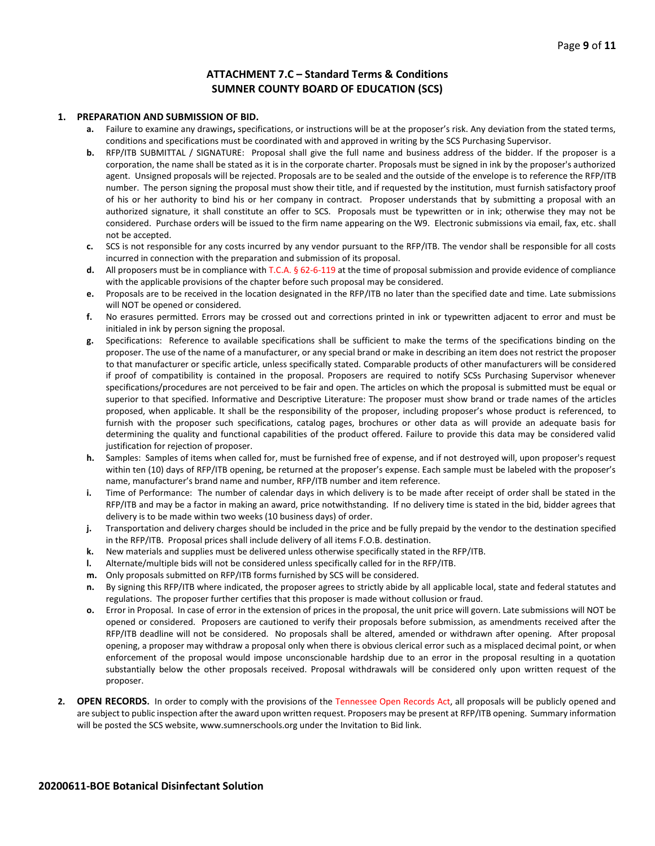#### **ATTACHMENT 7.C – Standard Terms & Conditions SUMNER COUNTY BOARD OF EDUCATION (SCS)**

#### **1. PREPARATION AND SUBMISSION OF BID.**

- **a.** Failure to examine any drawings**,** specifications, or instructions will be at the proposer's risk. Any deviation from the stated terms, conditions and specifications must be coordinated with and approved in writing by the SCS Purchasing Supervisor.
- **b.** RFP/ITB SUBMITTAL / SIGNATURE: Proposal shall give the full name and business address of the bidder. If the proposer is a corporation, the name shall be stated as it is in the corporate charter. Proposals must be signed in ink by the proposer's authorized agent. Unsigned proposals will be rejected. Proposals are to be sealed and the outside of the envelope is to reference the RFP/ITB number. The person signing the proposal must show their title, and if requested by the institution, must furnish satisfactory proof of his or her authority to bind his or her company in contract. Proposer understands that by submitting a proposal with an authorized signature, it shall constitute an offer to SCS. Proposals must be typewritten or in ink; otherwise they may not be considered. Purchase orders will be issued to the firm name appearing on the W9. Electronic submissions via email, fax, etc. shall not be accepted.
- **c.** SCS is not responsible for any costs incurred by any vendor pursuant to the RFP/ITB. The vendor shall be responsible for all costs incurred in connection with the preparation and submission of its proposal.
- **d.** All proposers must be in compliance with T.C.A. § 62-6-119 at the time of proposal submission and provide evidence of compliance with the applicable provisions of the chapter before such proposal may be considered.
- **e.** Proposals are to be received in the location designated in the RFP/ITB no later than the specified date and time. Late submissions will NOT be opened or considered.
- **f.** No erasures permitted. Errors may be crossed out and corrections printed in ink or typewritten adjacent to error and must be initialed in ink by person signing the proposal.
- **g.** Specifications: Reference to available specifications shall be sufficient to make the terms of the specifications binding on the proposer. The use of the name of a manufacturer, or any special brand or make in describing an item does not restrict the proposer to that manufacturer or specific article, unless specifically stated. Comparable products of other manufacturers will be considered if proof of compatibility is contained in the proposal. Proposers are required to notify SCSs Purchasing Supervisor whenever specifications/procedures are not perceived to be fair and open. The articles on which the proposal is submitted must be equal or superior to that specified. Informative and Descriptive Literature: The proposer must show brand or trade names of the articles proposed, when applicable. It shall be the responsibility of the proposer, including proposer's whose product is referenced, to furnish with the proposer such specifications, catalog pages, brochures or other data as will provide an adequate basis for determining the quality and functional capabilities of the product offered. Failure to provide this data may be considered valid justification for rejection of proposer.
- **h.** Samples: Samples of items when called for, must be furnished free of expense, and if not destroyed will, upon proposer's request within ten (10) days of RFP/ITB opening, be returned at the proposer's expense. Each sample must be labeled with the proposer's name, manufacturer's brand name and number, RFP/ITB number and item reference.
- **i.** Time of Performance: The number of calendar days in which delivery is to be made after receipt of order shall be stated in the RFP/ITB and may be a factor in making an award, price notwithstanding. If no delivery time is stated in the bid, bidder agrees that delivery is to be made within two weeks (10 business days) of order.
- **j.** Transportation and delivery charges should be included in the price and be fully prepaid by the vendor to the destination specified in the RFP/ITB. Proposal prices shall include delivery of all items F.O.B. destination.
- **k.** New materials and supplies must be delivered unless otherwise specifically stated in the RFP/ITB.
- **l.** Alternate/multiple bids will not be considered unless specifically called for in the RFP/ITB.
- **m.** Only proposals submitted on RFP/ITB forms furnished by SCS will be considered.
- **n.** By signing this RFP/ITB where indicated, the proposer agrees to strictly abide by all applicable local, state and federal statutes and regulations. The proposer further certifies that this proposer is made without collusion or fraud.
- **o.** Error in Proposal. In case of error in the extension of prices in the proposal, the unit price will govern. Late submissions will NOT be opened or considered. Proposers are cautioned to verify their proposals before submission, as amendments received after the RFP/ITB deadline will not be considered. No proposals shall be altered, amended or withdrawn after opening. After proposal opening, a proposer may withdraw a proposal only when there is obvious clerical error such as a misplaced decimal point, or when enforcement of the proposal would impose unconscionable hardship due to an error in the proposal resulting in a quotation substantially below the other proposals received. Proposal withdrawals will be considered only upon written request of the proposer.
- **2. OPEN RECORDS.** In order to comply with the provisions of the Tennessee Open Records Act, all proposals will be publicly opened and are subject to public inspection after the award upon written request. Proposers may be present at RFP/ITB opening. Summary information will be posted the SCS website, www.sumnerschools.org under the Invitation to Bid link.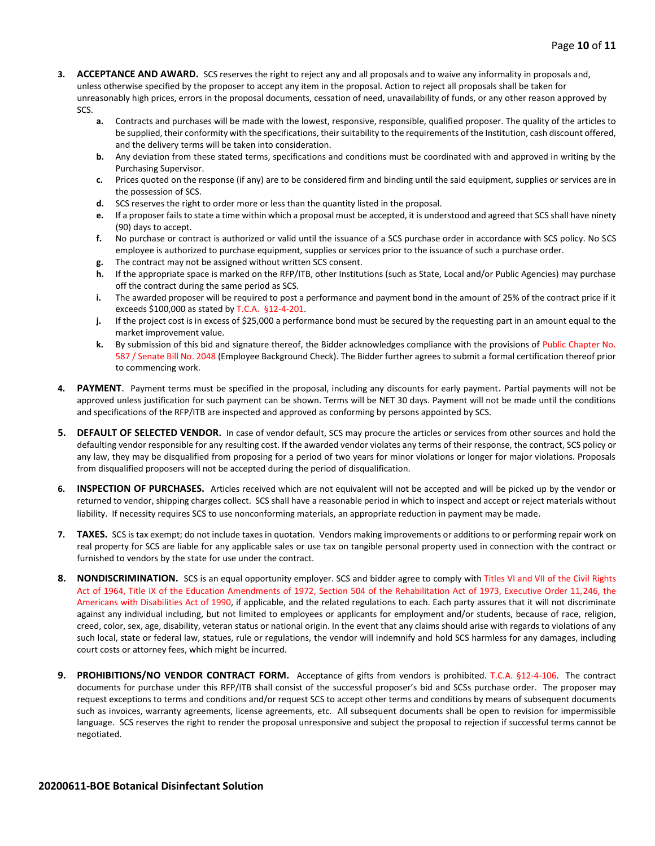- **3. ACCEPTANCE AND AWARD.** SCS reserves the right to reject any and all proposals and to waive any informality in proposals and, unless otherwise specified by the proposer to accept any item in the proposal. Action to reject all proposals shall be taken for unreasonably high prices, errors in the proposal documents, cessation of need, unavailability of funds, or any other reason approved by SCS.
	- **a.** Contracts and purchases will be made with the lowest, responsive, responsible, qualified proposer. The quality of the articles to be supplied, their conformity with the specifications, their suitability to the requirements of the Institution, cash discount offered, and the delivery terms will be taken into consideration.
	- **b.** Any deviation from these stated terms, specifications and conditions must be coordinated with and approved in writing by the Purchasing Supervisor.
	- **c.** Prices quoted on the response (if any) are to be considered firm and binding until the said equipment, supplies or services are in the possession of SCS.
	- **d.** SCS reserves the right to order more or less than the quantity listed in the proposal.
	- **e.** If a proposer fails to state a time within which a proposal must be accepted, it is understood and agreed that SCS shall have ninety (90) days to accept.
	- **f.** No purchase or contract is authorized or valid until the issuance of a SCS purchase order in accordance with SCS policy. No SCS employee is authorized to purchase equipment, supplies or services prior to the issuance of such a purchase order.
	- **g.** The contract may not be assigned without written SCS consent.
	- **h.** If the appropriate space is marked on the RFP/ITB, other Institutions (such as State, Local and/or Public Agencies) may purchase off the contract during the same period as SCS.
	- **i.** The awarded proposer will be required to post a performance and payment bond in the amount of 25% of the contract price if it exceeds \$100,000 as stated by T.C.A. §12-4-201.
	- **j.** If the project cost is in excess of \$25,000 a performance bond must be secured by the requesting part in an amount equal to the market improvement value.
	- **k.** By submission of this bid and signature thereof, the Bidder acknowledges compliance with the provisions of Public Chapter No. 587 / Senate Bill No. 2048 (Employee Background Check). The Bidder further agrees to submit a formal certification thereof prior to commencing work.
- **4. PAYMENT**. Payment terms must be specified in the proposal, including any discounts for early payment. Partial payments will not be approved unless justification for such payment can be shown. Terms will be NET 30 days. Payment will not be made until the conditions and specifications of the RFP/ITB are inspected and approved as conforming by persons appointed by SCS.
- **5. DEFAULT OF SELECTED VENDOR.** In case of vendor default, SCS may procure the articles or services from other sources and hold the defaulting vendor responsible for any resulting cost. If the awarded vendor violates any terms of their response, the contract, SCS policy or any law, they may be disqualified from proposing for a period of two years for minor violations or longer for major violations. Proposals from disqualified proposers will not be accepted during the period of disqualification.
- **6. INSPECTION OF PURCHASES.** Articles received which are not equivalent will not be accepted and will be picked up by the vendor or returned to vendor, shipping charges collect. SCS shall have a reasonable period in which to inspect and accept or reject materials without liability. If necessity requires SCS to use nonconforming materials, an appropriate reduction in payment may be made.
- **7. TAXES.** SCS is tax exempt; do not include taxes in quotation. Vendors making improvements or additions to or performing repair work on real property for SCS are liable for any applicable sales or use tax on tangible personal property used in connection with the contract or furnished to vendors by the state for use under the contract.
- **8. NONDISCRIMINATION.** SCS is an equal opportunity employer. SCS and bidder agree to comply with Titles VI and VII of the Civil Rights Act of 1964, Title IX of the Education Amendments of 1972, Section 504 of the Rehabilitation Act of 1973, Executive Order 11,246, the Americans with Disabilities Act of 1990, if applicable, and the related regulations to each. Each party assures that it will not discriminate against any individual including, but not limited to employees or applicants for employment and/or students, because of race, religion, creed, color, sex, age, disability, veteran status or national origin. In the event that any claims should arise with regards to violations of any such local, state or federal law, statues, rule or regulations, the vendor will indemnify and hold SCS harmless for any damages, including court costs or attorney fees, which might be incurred.
- **9. PROHIBITIONS/NO VENDOR CONTRACT FORM.** Acceptance of gifts from vendors is prohibited. T.C.A. §12-4-106. The contract documents for purchase under this RFP/ITB shall consist of the successful proposer's bid and SCSs purchase order. The proposer may request exceptions to terms and conditions and/or request SCS to accept other terms and conditions by means of subsequent documents such as invoices, warranty agreements, license agreements, etc. All subsequent documents shall be open to revision for impermissible language. SCS reserves the right to render the proposal unresponsive and subject the proposal to rejection if successful terms cannot be negotiated.